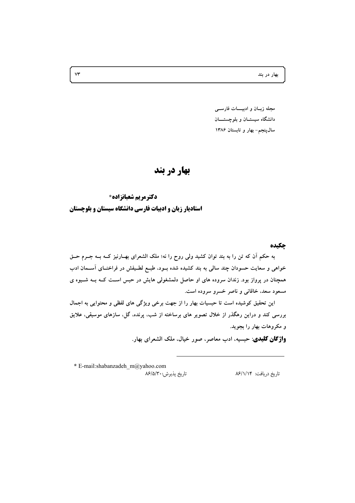بهار در بند

مجله زبان و ادبيــات فارســي دانشگاه سیستان و بلوچستــان سال پنجم- بهار و تابستان ۱۳۸۶

# بهار در بند

**دکترمریم شعبانزاده\*** استادیار زبان و ادبیات فارسی دانشگاه سیستان و بلوچستان

حكىده

به حکم آن که تن را به بند توان کشید ولی روح را نه؛ ملک الشعرای بهـارنیز کــه بــه جــرم حــق خواهی و سعایت حسودان چند سالی به بند کشیده شده بــود، طبــع لطــیفش در فراخنــای آســمان ادب همچنان در پرواز بود. زندان سروده های او حاصل دلمشغولی هایش در حبس است کــه بــه شــیوه ی مسعود سعد، خاقانی و ناصر خسرو سروده است.

این تحقیق کوشیده است تا حبسیات بهار را از جهت برخی ویژگی های لفظی و محتوایی به اجمال بررسی کند و دراین رهگذر از خلال تصویر های برساخته از شب، پرنده، گل، سازهای موسیقی، علایق و مکروهات بهار را بجوید.

**واژگان کلیدی**: حبسیه، ادب معاصر، صور خیال، ملک الشعرای بهار.

\* E-mail:shabanzadeh\_m@yahoo.com تاريخ پذيرش:۸۶/۵/۳۰۰

تاریخ دریافت: ۸۶/۱/۱۴

 $\forall \tau$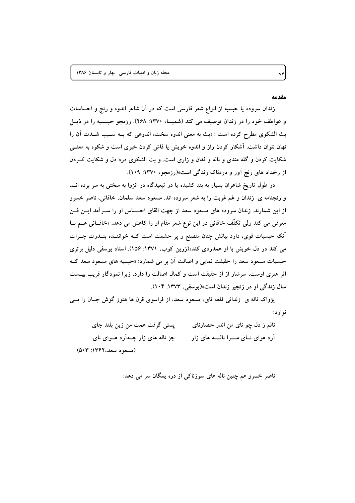#### مقدمه

زندان سروده یا حبسیه از انواع شعر فارسی است که در آن شاعر اندوه و رنج و احساسات و عواطف خود را در زندان توصیف می کند (شمیسا، ۱۳۷۰: ۲۶۸). رزمجو حبسیه را در ذیبل بث الشكوى مطرح كرده است : «بث به معنى اندوه سخت، اندوهي كه بـه سـبب شـدت آن را نهان نتوان داشت. آشکار کردن راز و اندوه خویش یا فاش کردن خبری است و شکوه به معنــی شکایت کردن و گله مندی و ناله و فغان و زاری است. و بث الشکوی درد دل و شکایت کـردن از رخداد های رنج اَور و دردناک زندگی است»(رزمجو، ۱۳۷۰: ۱۰۹).

در طول تاریخ شاعران بسیار به بند کشیده یا در تبعیدگاه در انزوا به سختی به سر برده انــد و رنجنامه ی زندان و غم غربت را به شعر سروده اند. مسعود سعد سلمان، خاقانی، ناصر خسرو از این شمارند. زندان سروده های مسعود سعد از جهت القای احــساس او را ســرآمد ایــن فــن معرفی می کند ولی تکلُّف خاقانی در این نوع شعر مقام او را کاهش می دهد. «خاقــانی هــم بــا اّنکه حبسیات قوی، دارد بیانش چنان متصنع و پر حشمت است کــه خواننــده بنــدرت جــرات می کند در دل خویش با او همدردی کند»(زرین کوب، ۱۳۷۱: ۱۵۶). استاد یوسفی دلیل برتری حبسیات مسعود سعد را حقیقت نمایی و اصالت آن بر می شمارد: «حبسیه های مسعود سعد کــه اثر هنری اوست، سرشار از از حقیقت است و کمال اصالت را دارد، زیرا نمودگار قریب بیــست سال زندگی او در زنجیر زندان است»(یوسفی، ۱۳۷۳: ۱۰۴).

پژواک ناله ی زندانی قلعه نای، مسعود سعد، از فراسوی قرن ها هنوز گوش جــان را مــی نوازد:

یستی گرفت همت من زین بلند جای نالم ز دل چو نای من اندر حصارنای جز ناله های زار چـهآرد هـوای نای آرد هوای نسای مسرا نالسه های زار (مسعود سعد، ۱۳۶۲: ۵۰۳)

ناصر خسرو هم چنین ناله های سوزناکی از دره یمگان سر می دهد:

٧۴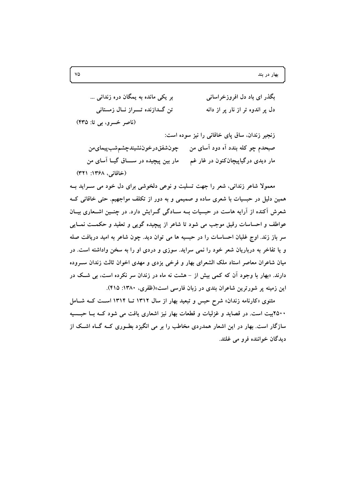| بر یکی مانده به یمگان دره زندانی …  | بگذر ای باد دل افروزخراسانی      |
|-------------------------------------|----------------------------------|
| تن گــدازنده تــــراز نــال زمستانی | دل پر اندوه تر از نار پر از دانه |
| (ناصر خسرو، بي تا: ۴۳۵)             |                                  |

زنجیر زندان، ساق پای خاقانی را نیز سوده است: صبحدم چو کله بندد اَه دود اَسای من ٪ چونشفقدرخوننشیندچشمشبپیمای من مار دیدی درگیاپیچانکنون در غار غم مار بین پیچیده در ســـاق گیــا آسای من (خاقانی، ۱۳۶۸: ۳۲۱)

معمولا شاعر زنداني، شعر را جهت تسليت و نوعي دلخوشي براي دل خود مي سـرايد بــه همین دلیل در حبسیات با شعری ساده و صمیمی و به دور از تکلف مواجهیم. حتی خاقانی ک شعرش آکنده از آرایه هاست در حبسیات بــه ســادگی گــرایش دارد. در چنــین اشــعاری بیــان عواطف و احساسات رقیق موجب می شود تا شاعر از پیچیده گویی و تعقید و حکمــت نمــایی سر باز زند. اوج غلبان احساسات را در حبسیه ها می توان دید. چون شاعر به امید دریافت صله و یا تفاخر به درباریان شعر خود را نمی سراید. سوزی و دردی او را به سخن واداشته است. در میان شاعران معاصر استاد ملک الشعرای بهار و فرخی یزدی و مهدی اخوان ثالث زندان سـروده دارند. «بهار با وجود آن که کمی بیش از – هشت نه ماه در زندان سر نکرده است، بی شــک در این زمینه پر شورترین شاعران بندی در زبان فارسی است»(ظفری، ۱۳۸۰: ۴۱۵).

مثنوی «کارنامه زندان» شرح حبس و تبعید بهار از سال ۱۳۱۲ تــا ۱۳۱۴ اسـت کــه شــامل ۲۵۰۰بیت است. در قصاید و غزلیات و قطعات بهار نیز اشعاری یافت می شود کــه بــا حبــسیه سازگار است. بهار در این اشعار همدردی مخاطب را بر می انگیزد بطـوری کــه گــاه اشــک از ديدگان خواننده فرو مي غلتد.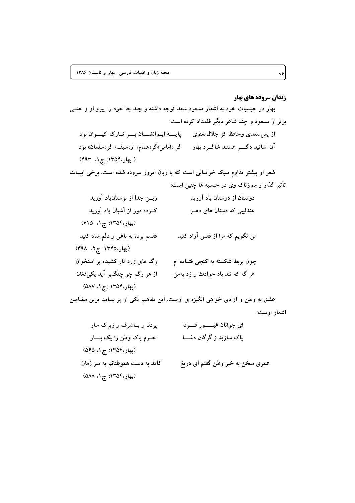## **زندان سروده های بهار** بهار در حبسیات خود به اشعار مسعود سعد توجه داشته و چند جا خود را پیرو او و حتــی برتر از مسعود و چند شاعر دیگر قلمداد کرده است: از پس سعدی وحافظ کز جلال،معنوی پیایسه ایسوانشسان بسیر تبارک کیسوان بود آن اساتید دگــــر هستند شاگــرد بهار گر «امامی»گر«همام» ار«سیف» گر«سلمان» بود (بهار، ١٣٥۴: ج ١، ۴۹۳) شعر او بیشتر تداوم سبک خراسانی است که با زبان امروز سروده شده است. برخی ابیـات تأثیر گذار و سوزناک وی در حبسیه ها چنین است: زیــن جدا از بوستانLیاد آورید دوستان از دوستان یاد آورید کـــرده دور از آشیان یاد آورید عندلیبی که دستان های دهــر (بهار، ١٣٥۴: ج ١، ۶١۵) من نگویم که مرا از قفس آزاد کنید قفسم برده به باغی و دلم شاد کنید (بهار، ١٣٤۵: ج ٢، ٣٩٨) رگ های زرد تار کشیده بر استخوان چون بربط شکسته به کنجی فتــاده ام هر گه که تند باد حوادث و زد بهمن از هر رگم چو چنگبر آید یکیفغان (بهار، ۱۳۵۴ :ج ۱، ۵۸۷)

عشق به وطن و آزادی خواهی انگیزه ی اوست. این مفاهیم یکی از پر بسامد ترین مضامین اشعار اوست:

| پردل و بــاشرف و زیرک سار       | ای جوانان غیـــــــور فـــــردا  |
|---------------------------------|----------------------------------|
| حــرم پاک وطن را یک بــــار     | پاک سازید ز گرگان دغـــا         |
| (بهار، ۱۳۵۴: ج ۱، ۵۶۵)          |                                  |
| کامد به دست هموطنانم به سر زمان | عمری سخن به خیر وطن گفتم ای دریغ |
| (بهار، ۱۳۵۴: ج ۱، ۵۸۸)          |                                  |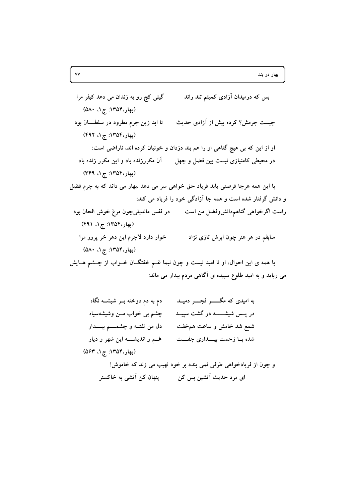بس که درمیدان آزادی کمیتم تند راند گیتی کج رو به زندان می دهد کیفر مرا (بهار، ۱۳۵۴: ج ۱، ۵۸۰) تا ابد زین جرم مطرود در سلطـــان بود چیست جرمش؟ کرده بیش از آزادی حدیث (بهار، ۱۳۵۴: ج ۱، ۴۹۲) او از این که بی هیچ گناهی او را هم بند دزدان و خونیان کرده اند، ناراضی است: در محیطی کامتیازی نیست بین فضل و جهل  $\vec{a}$  آن مکررزنده باد و این مکرر زنده باد (بهار، ۱۳۵۴: ج ۱، ۳۶۹) با این همه هرجا فرصتی یابد فریاد حق خواهی سر می دهد .بهار می داند که به جرم فضل و دانش گرفتار شده است و همه جا آزادگی خود را فریاد می کند: راست اگرخواهی گناهمدانش وفضل من است می در قفس ماندبلی چون مرغ خوش الحان بود (بهار، ۱۳۵۴: ج ۱، ۴۹۱) خوار دارد لاجرم اين دهر خر پرور مرا سابقم در هر هنر چون ابرش تازی نژاد (بهار، ۱۳۵۴: ج ۱، ۵۸۰) با همه ی این احوال، او نا امید نیست و چون نیما غــم خفتگــان خــواب از چــشم هــایش می رباید و به امید طلوع سپیده ی آگاهی مردم بیدار می ماند:

| دم به دم دوخته بــر شیشــه نگاه       | به امیدی که مگـــــر فجــــر دمیــد |
|---------------------------------------|-------------------------------------|
| چشم بی خواب مــن وشیشهسیاه            | در پــس شیشــــــــه در گشت سپیــد  |
| دل من تفتـــه و چشمـــــم بيــــــدار | شمع شد خامش و ساعت همخفت            |
| غــم و انديشــــه اين شهر و ديار      | شده بـا زحمت بيـــدارى جفـــت       |
| (بهار، ۱۳۵۴: ج ۱، ۵۶۳)                |                                     |
|                                       | .                                   |

و چون از فریادخواهی طرفی نمی بندد بر خود نهیب می زند که خاموش! ای مرد حدیث آتشین بس کن مسمع پنهان کن آتشی به خاکستر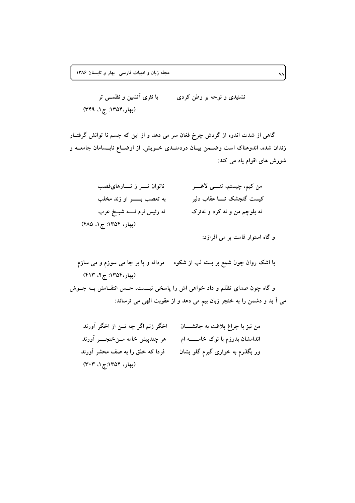نشنیدی و نوحه بر وطن کردی  $\qquad \qquad$  با نثری آتشین و نظمــی تر (بهار، ۱۳۵۴: ج ۱، ۳۴۹)

گاهی از شدت اندوه از گردش چرخ فغان سر می دهد و از این که جسم نا توانش گرفتــار زندان شده، اندوهناک است وضــمن بیــان دردمنــدی خــویش، از اوضــاع نابــسامان جامعــه و شورش های اقوام یاد می کند:

| ناتوان تــــر ز تـــــارهایقصب   | من كيم، چيستم، تنسى لاغسر    |
|----------------------------------|------------------------------|
| به تعصب بــــــــــر او زند مخلب | کیست گنجشک تـــا عقاب دلیر   |
| نه رئيس لرم نــــه شيــخ عرب     | نه بلوچم من و نه کرد و نهترک |
| (بهار، ۱۳۵۴: ج ۱، ۴۸۵)           |                              |

و گاه استوار قامت بر می افرازد:

| اخگر زنم اگر چه تــن از اخگر آورند | من نيز با چراغ بلاغت به جانشــان    |
|------------------------------------|-------------------------------------|
| هر چندپیش خامه مــنخنجــــر آورند  | اندامشان بدوزم با نوک خامــــــه ام |
| فردا که خلق را به صف محشر آورند    | ور بگذرم به خواری گیرم گلو یشان     |
| (بهار، ۱۳۵۴:ج ۱، ۳۰۳)              |                                     |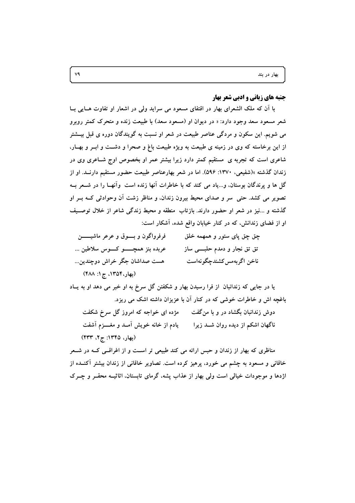## جنبه های زبانی و ادبی شعر بهار

با آن که ملک الشعرای بهار در اقتفای مسعود می سراید ولی در اشعار او تفاوت هـایی بـا شعر مسعود سعد وجود دارد: « در دیوان او (مسعود سعد) با طبیعت زنده و متحرک کمتر روبرو می شویم. این سکون و مردگی عناصر طبیعت در شعر او نسبت به گویندگان دوره ی قبل بیــشتر از این برخاسته که وی در زمینه ی طبیعت به ویژه طبیعت باغ و صحرا و دشــت و ابــر و بهــار، شاعری است که تجربه ی مستقیم کمتر دارد زیرا بیشتر عمر او بخصوص اوج شـاعری وی در زندان گذشته »(شفیعی، ۱۳۷۰: ۵۹۶). اما در شعر بهارعناصر طبیعت حضور مستقیم دارنــد. او از گل ها و پرندگان بوستان، و…یاد می کند که با خاطرات آنها زنده است ۖ وآنهــا را در شــعر بــه تصویر می کشد. حتی ً سر و صدای محیط بیرون زندان، و مناظر زشت اَن وحوادثی کــه بــر او گذشته و …نیز در شعر او حضور دارند. بازتاب منطقه و محیط زندگی شاعر از خلال توصـیف او از فضای زندانش، که در کنار خیابان واقع شده، آشکار است:

| فرفرواگون و بسوق و عرعر ماشیـــــــن    | چق چق پای ستور و همهمه خلق |
|-----------------------------------------|----------------------------|
| عربده بنز همچـــــــو کـــــوس سلاطين … | تق تق نجار و دمدم حلبے ساز |
| هست صداشان جگر خراش دوچندین…            | ناخن اگربەمس كشندچگونەاست  |
| (بهار، ١٣٥۴، ج ١: ۴٨٨)                  |                            |

یا در جایی که زندانبان از فرا رسیدن بهار و شکفتن گل سرخ به او خبر می دهد او به پاد باغچه اش و خاطرات خوشی که در کنار آن با عزیزان داشته اشک می ریزد.

مژده ای خواجه که امروز گل سرخ شکفت دوش زندانبان بگشاد در و با من گفت یادم از خانه خویش آمــد و مغــــزم آشفت ناگهان اشکم از دیده روان شــد زیرا (بهار، ۱۳۴۵: ج ۲، ۴۳۳)

مناظری که بهار از زندان و حبس ارائه می کند طبیعی تر است و از اغراقسی کــه در شــعر خاقانی و مسعود به چشم می خورد، پرهیز کرده است. تصاویر خاقانی از زندان بیشتر آکنــده از اژدها و موجودات خیالی است ولی بهار از عذاب پشه، گرمای تابستان، اثاثیــه محقــر و چــرک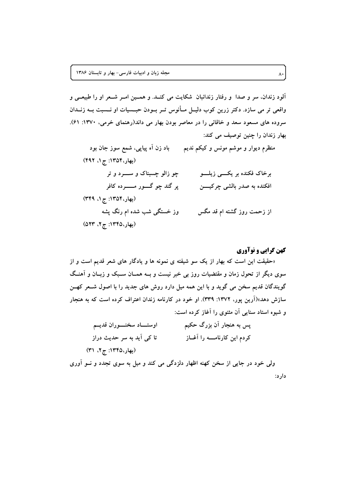آلود زندان، سر و صدا و رفتار زندانبان شکایت می کنـد. و همـین امـر شـعر او را طبیعـی و واقعی تر می سازد. دکتر زرین کوب دلیــل مــأنوس تــر بــودن حبـــسیات او نـــسبت بــه زنــدان سروده های مسعود سعد و خاقانی را در معاصر بودن بهار می داند(رهنمای خرمی، ۱۳۷۰: ۶۱). بهار زندان را چنین توصیف می کند:

منظرم دیوار و موشم مونس و کیکم ندیم باد زن اَه پیاپی، شمع سوز جان بود (بهار، ١٣٥۴: ج ١، ۴٩٢) برخاک فکنده بر یکسی زیلسو ير گند چو گـــور مــــــرده کافر افکنده به صدر بالشي چرکيسن (بهار، ۱۳۵۴: ج۱، ۳۴۹) وز خستگی شب شده ام رنگ پشه از زحمت روز گشته ام قد مگس (بهار، ١٣٤٥: ج ٢، ٥٢٣)

## کهن گرایی و نوآوری

«حقیقت این است که بهار از یک سو شیفته ی نمونه ها و یادگار های شعر قدیم است و از سوی دیگر از تحول زمان و مقتضیات روز بی خبر نیست و بــه همــان ســبک و زبــان و آهنــگ گویندگان قدیم سخن می گوید و با این همه میل دارد روش های جدید را با اصول شــعر کهــن سازش دهد»(اَرین یور، ۱۳۷۲: ۳۳۹). او خود در کارنامه زندان اعتراف کرده است که به هنجار و شیوه استاد سنایی آن مثنوی را آغاز کرده است:

| اوستـــاد سخنــــوران قديــم | پس به هنجار آن بزرگ حکیم       |
|------------------------------|--------------------------------|
| تا کی اَید به سر حدیث دراز   | کردم این کارنامــــه را آغــاز |
| (بهار،١٣۴۵: ج ٢، ٣١)         |                                |

ولي خود در جايي از سخن کهنه اظهار دلزدگي مي کند و ميل به سوي تجدد و نــو آوري دار د: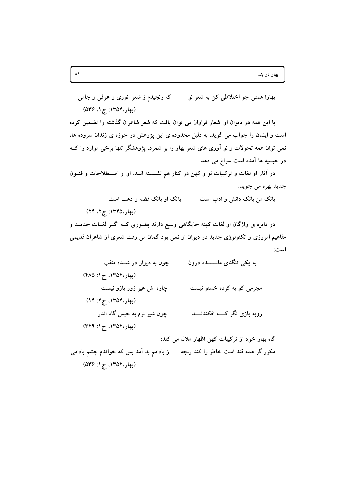که رنجیدم ز شعر انوری و عرفی و جامی بھارا ہمتی جو اختلاطی کن به شعر نو (بھار، ۱۳۵۴: ج ۱، ۵۳۶)

با این همه در دیوان او اشعار فراوان می توان یافت که شعر شاعران گذشته را تضمین کرده است و ایشان را جواب می گوید. به دلیل محدوده ی این پژوهش در حوزه ی زندان سروده ها، نمی توان همه تحولات و نو اَوری های شعر بهار را بر شمرد. یژوهشگر تنها برخی موارد را کــه در حبسیه ها آمده است سراغ می دهد.

در آثار او لغات و ترکیبات نو و کهن در کنار هم نشــسته انــد. او از اصــطلاحات و فنــون جديد بهره مي جويد.

> بانک او بانک فضه و ذهب است بانک من بانک دانش و ادب است

در دایره ی واژگان او لغات کهنه جایگاهی وسیع دارند بطـوری کــه اگــر لغــات جدیــد و مفاهیم امروزی و تکنولوژی جدید در دیوان او نمی بود گمان می رفت شعری از شاعران قدیمی است:

به یکم تنگنای مانــــــده درون چون به دیوار در شــده مثقب (بهار، ۱۳۵۴، ج۱: ۴۸۵) مجرمي کو به کرده خستو نيست چاره اش غیر زور بازو نیست (بهار، ١٣٥۴، ج٢: ١۴) چون شیر نرم به حبس گاه اندر روپه پازې نگر کـــه افکندنــــد (بهار، ١٣٥۴، ج ١: ٣۴٩) گاه بهار خود از ترکیبات کهن اظهار ملال می کند:

مکرر گر همه قند است خاطر را کند رنجه ہے ز بادامم بد آمد بس که خواندم چشم بادامی (بهار، ۱۳۵۴، ج ۱: ۵۳۶)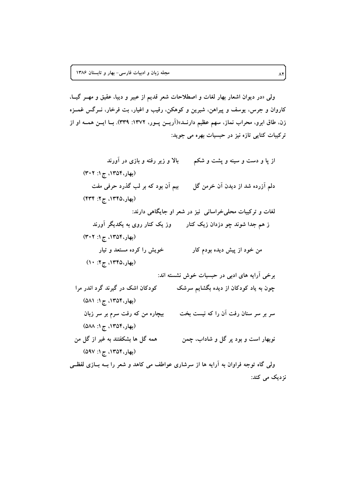ولی «در دیوان اشعار بهار لغات و اصطلاحات شعر قدیم از عبیر و دیبا، عقیق و مهـر گیــا، کاروان و جرس، یوسف و پیراهن، شیرین و کوهکن، رقیب و اغیار، بت فرخار، نــرگس غمــزه زن، طاق ابرو، محراب نماز، سهم عظیم دارنــد»(آریــن پــور، ۱۳۷۲: ۳۳۹). بــا ایــن همــه او از ترکیبات کنایی تازه نیز در حبسیات بهره می جوید:

از پا و دست و سینه و پشت و شکم  $\mathbf{j}$  از زیر رفته و بازی در آورند (بهار، ۱۳۵۴، ج ۱: ۳۰۲) بیم اَن بود که بر لب گذرد حرفی مفت دلم آزرده شد از دیدن آن خرمن گل (بهار،۱۳۴۵، ج۲: ۴۳۴) لغات و ترکیبات محلی خراسانی نیز در شعر او جایگاهی دارند: ز هم جدا شوند چو دزدان زیک کنار مسعور یک کنار روی به یکدیگر آورند (بهار، ۱۳۵۴، ج ۱: ۳۰۲) خویش را کرده مستعد و تیار من خود از پیش دیده بودم کار (بهار، ۱۳۴۵، ج۲: ۱۰) برخی آرایه های ادبی در حبسیات خوش نشسته اند: کودکان اشک در گیرند گرد اندر مرا چون به یاد کودکان از دیده بگشایم سرشک (بهار، ۱۳۵۴، ج۱: ۵۸۱) بیچاره من که رفت سرم بر سر زبان سر بر سر سنان رفت اَن را که نیست بخت (بهار، ١٣٥۴، ج ١: ٥٨٨) همه گل ها بشکفتند به غیر از گل من نوبهار است و بود پر گل و شاداب، چمن (بهار، ١٣٥۴، ج ١: ٥٩٧) ولی گاه توجه فراوان به آرایه ها از سرشاری عواطف می کاهد و شعر را بــه بــازی لفظــی نزدیک می کند: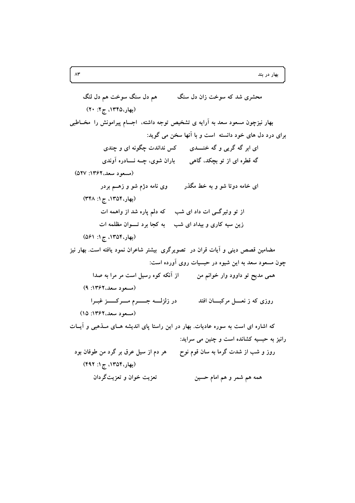محشري شد که سوخت زان دل سنگ هم دل سنگ سوخت هم دل لنگ (بهار، ١٣۴۵، ج ٢: ٢٠) بهار نیزچون مسعود سعد به آرایه ی تشخیص توجه داشته، اجسام پیرامونش را مخــاطبی برای درد دل های خود دانسته است و با آنها سخن می گوید: ای ابر گه گریی و گه خنسدی مسلم نداندت چگونه ای و چندی گه قطره ای از تو بچکد، گاهی  $\qquad \qquad$  باران شوی، چــه نــــادره آوندی (مسعود سعد، ۱۳۶۲: ۵۲۷) ای خامه دوتا شو و به خط مگذر وی نامه دژم شو و زهــم بردر (بهار، ١٣٥۴، ج ١: ٣۴٨) از تو وتیرگــی ات داد ای شب که دلم پاره شد از واهمه ات زین سیه کاری و بیداد ای شب به کجا برد تـوان مظلمه ات (بهار، ١٣٥۴، ج ١: ٥۶١) مضامین قصص دینی و آیات قران در تصویرگری بیشتر شاعران نمود یافته است. بهار نیز چون مسعود سعد به این شیوه در حبسیات روی آورده است: همی مدیح تو داوود وار خوانم من از آنکه کوه رسیل است مر مرا به صدا (مسعود سعد، ۱۳۶۲: ۹) در زلزلـــه جــــــرم مــــركـــــز غبــرا روزی که ز نعــــل مرکبـــــان افتد (مسعود سعد، ۱۳۶۲: ۱۵) که اشاره ای است به سوره عادیات. بهار در این راستا یای اندیشه هـای مـذهبی و آیــات رانیز به حبسیه کشانده است و چنین می سراید: روز و شب از شدت گرما به سان قوم نوح هر دم از سیل عرق بر گرد من طوفان بود (بهار، ١٣٥۴، ج ١: ۴۹۲) تعزيت خوان و تعزيتگر دان همه هم شمر و هم امام حسین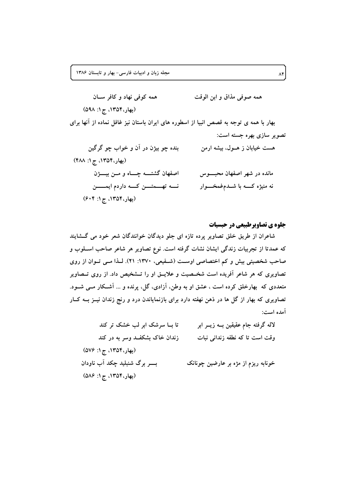همه کوفی نهاد و کافر سان همه صوفي مذاق و ابن الوقت (بهار، ١٣٥۴، ج ١: ٥٩٨) بهار با همه ی توجه به قصص انبیا از اسطوره های ایران باستان نیز غافل نماده از آنها برای تصوير سازي بهره جسته است: بنده چو بيژن در آن و خواب چو گرگين هست خیابان ز هــول، بیشه ارمن (بهار، ١٣٥۴، ج ١: ۴٨٨) اصفهان گشتمه چـاه و مــن بيــــــــزن مانده در شهر اصفهان محبوس نے تھے تقسین کے داردم ایمسسن نه منیژه کــــه با شـــدمءغمخـــــوار (بهار، ۱۳۵۴، ج۱: ۶۰۴)

جلوه ی تصاویرطبیعی در حبسیات

شاعران از طریق خلق تصاویر پرده تازه ای جلو دیدگان خوانندگان شعر خود می گــشایند که عمدتا از تجربیات زندگی ایشان نشات گرفته است. نوع تصاویر هر شاعر صاحب اســلوب و صاحب شخصیتی بیش و کم اختصاصی اوست (شـفیعی، ۱۳۷۰: ۲۱). لـذا مـی تـوان از روی تصاویری که هر شاعر آفریده است شخـصیت و علایــق او را تــشخیص داد. از روی تــصاویر متعددی که بهارخلق کرده است ، عشق او به وطن، آزادی، گل، پرنده و ... آشـکار مــی شــود. تصاویری که بهار از گل ها در ذهن نهفته دارد برای بازنمایاندن درد و رنج زندان نیــز بــه کــار آمده است:

| تا بــا سرشک ابر لب خشک تر کند     | لاله گرفته جام عقیقین بــه زیــر ابر |
|------------------------------------|--------------------------------------|
| زندان خاک بشکفـد وسر به در کند     | وقت است تا که نطفه زندانی نبات       |
| (بهار،۱۳۵۴، ج ۱: ۵۷۶)              |                                      |
| بـــــــر برگ شنبلید چکد آب ناودان | خونابه ریزم از مژه بر عارضین چونانک  |
| (بهار، ۱۳۵۴، ج ۱: ۵۸۶)             |                                      |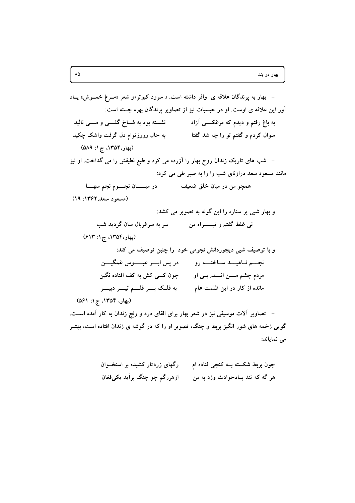می نمایاند: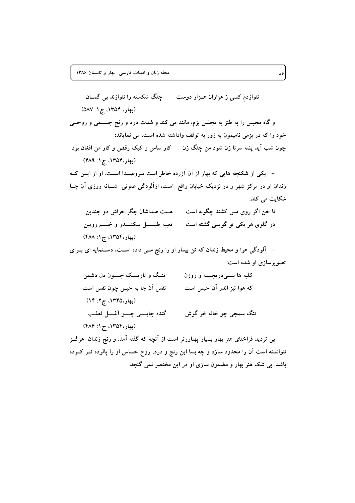ننوازدم کسی ز هزاران هـزار دوست مسلح چنگ شکسته را ننوازند بی گمــان (بهار، ١٣٥۴، ج ١: ٥٨٧) و گاه محبس را به طنز به مجلس بزم، مانند می کند و شدت درد و رنج جــسمی و روحــی خود را که در بزمی نامیمون به زور به توقف واداشته شده است، می نمایاند: چون شب اَید پشه سرنا زن شود من چنگ زن کار ساس و کیک رقص و کار من افغان بود (بهار، ١٣٥۴، ج ١: ۴٨٩) – یکی از شکنجه هایی که بهار از آن آزرده خاطر است سروصـدا اسـت. او از ایــن کــه زندان او در مرکز شهر و در نزدیک خیابان واقع است، ازآلودگی صوتی شـبانه روزی آن جــا شکایت می کند: نا خن اگر روی مس کشند چگونه است مسست صداشان جگر خراش دو چندین در گلوی هر یکی تو گویسی گشته است مستبه طبـــــــل سکنـــــــدر و خـــــم رویین (بهار، ١٣٥۴، ج ١: ۴٨٨) – آلودگی هوا و محیط زندان که تن بیمار او را رنج مـی داده اســت، دســتمایه ای بــرای تصویر سازی او شده است: تنـگ و تاريـــک چــــون دل دشمن کلبه ها بــــیدریچـــــه و روزن نفس آن جا به حبس چون نفس است که هوا نیز اندر آن حبس است (بهار،۱۳۴۵، ج۲: ۱۴) گنده جایسی چسو آغسل ثعلب تنگ سمجي ڇو خانه خر گوش (بهار، ١٣٥۴، ج ١: ٢٨۶) بی تردید فراخنای هنر بهار بسیار پهناورتر است از آنچه که گفته آمد. و رنج زندان ً هرگــز نتوانسته است آن را محدود سازد و چه بسا این رنج و درد، روح حساس او را پالوده تــر کــرده

باشد. بی شک هنر بهار و مضمون سازی او در این مختصر نمی گنجد.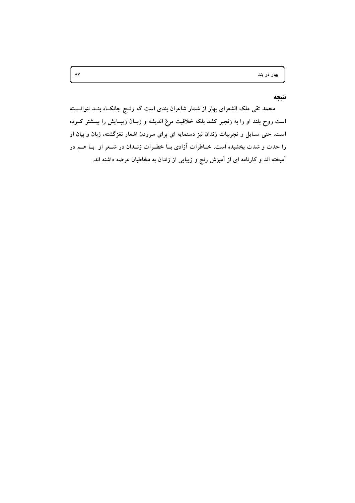بهار در بند

### نتتحه

محمد تقی ملک الشعرای بهار از شمار شاعران بندی است که رنــج جانکــاه بنــد نتوانـــسته است روح بلند او را به زنجیر کشد بلکه خلاقیت مرغ اندیشه و زبــان زیبــایش را بیــشتر کــرده است. حتی مسایل و تجربیات زندان نیز دستمایه ای برای سرودن اشعار نغزگشته، زبان و بیان او را حدت و شدت بخشیده است. خــاطرات آزادی بــا خطــرات زنــدان در شــعر او بــا هــم در آمیخته اند و کارنامه ای از آمیزش رنج و زیبایی از زندان به مخاطبان عرضه داشته اند.